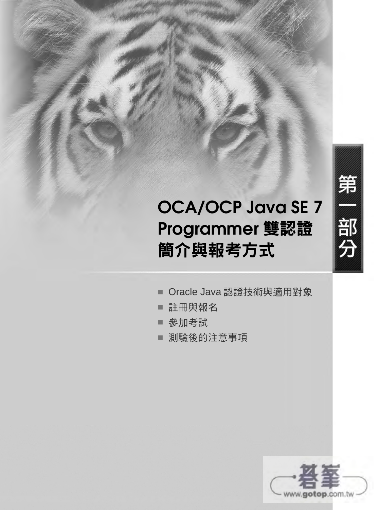# **OCA/OCP Java SE 7 Programmer** 雙認證 簡介與報考方式

- Oracle Java 認證技術與適用對象
- 註冊與報名
- 參加考試
- 測驗後的注意事項



第

部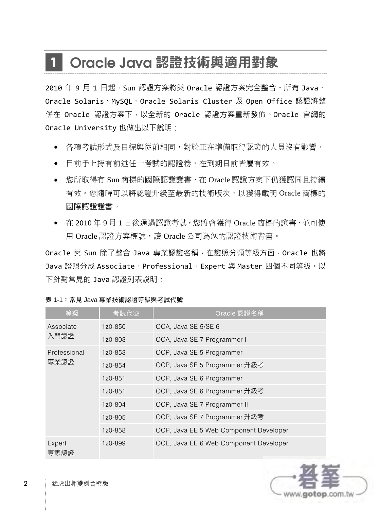# **1 Oracle Java** 認證技術與適用對象

 $2010 \, \text{£} \, 9 \, \text{F}$  1 日起, Sun 認證方案將與 Oracle 認證方案完全整合。所有 Java、 Oracle Solaris、MySQL、Oracle Solaris Cluster 及 Open Office 認證將整 併在 Oracle 認證方案下,以全新的 Oracle 認證方案重新發佈。Oracle 官網的 Oracle University 也做出以下說明:

- 各項考試形式及目標與從前相同,對於正在準備取得認證的人員沒有影響。
- 目前手上持有前述任一考試的認證卷,在到期日前皆屬有效。
- 您所取得有 Sun 商標的國際認證證書,在 Oracle 認證方案下仍獲認同且持續 有效。您隨時可以將認證升級至最新的技術版次,以獲得載明 Oracle 商標的 國際認證證書。
- 在 2010 年 9 月 1 日後通過認證考試,您將會獲得 Oracle 商標的證書,並可使 用 Oracle 認證方案標誌,讓 Oracle 公司為您的認證技術背書。

Oracle 與 Sun 除了整合 Java 專業認證名稱, 在證照分類等級方面, Oracle 也將 Java 證照分成 Associate、Professional、Expert 與 Master 四個不同等級。以 下針對常見的 Java 認證列表說明:

| 等級             | 考試代號    | Oracle 認證名稱                            |
|----------------|---------|----------------------------------------|
| Associate      | 1z0-850 | OCA, Java SE 5/SE 6                    |
| 入門認證           | 1z0-803 | OCA, Java SE 7 Programmer I            |
| Professional   | 1z0-853 | OCP, Java SE 5 Programmer              |
| 專業認證           | 1z0-854 | OCP, Java SE 5 Programmer 升級考          |
|                | 1z0-851 | OCP, Java SE 6 Programmer              |
|                | 1z0-851 | OCP, Java SE 6 Programmer 升級考          |
|                | 1z0-804 | OCP, Java SE 7 Programmer II           |
|                | 1z0-805 | OCP, Java SE 7 Programmer 升級考          |
|                | 1z0-858 | OCP, Java EE 5 Web Component Developer |
| Expert<br>專家認證 | 1z0-899 | OCE, Java EE 6 Web Component Developer |

表 1-1:常見 Java 專業技術認證等級與考試代號

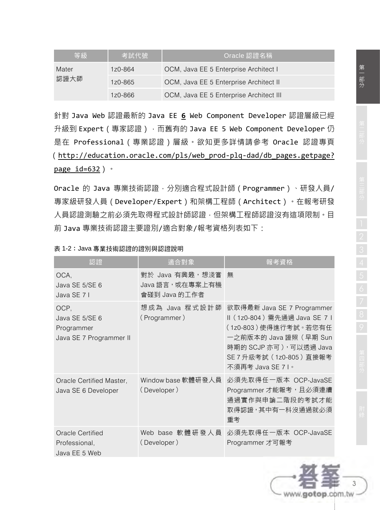| 等級            | 考試代號    | Oracle 認證名稱                             |
|---------------|---------|-----------------------------------------|
| Mater<br>認證大師 | 1z0-864 | OCM, Java EE 5 Enterprise Architect I   |
|               | 1z0-865 | OCM, Java EE 5 Enterprise Architect II  |
|               | 1z0-866 | OCM, Java EE 5 Enterprise Architect III |

針對 Java Web 認證最新的 Java EE **6** Web Component Developer 認證層級已經 升級到 Expert (專家認證), 而舊有的 Java EE 5 Web Component Developer 仍 是在 Professional(專業認證)層級。欲知更多詳情請參考 Oracle 認證專頁 (http://education.oracle.com/pls/web\_prod-plq-dad/db\_pages.getpage? page  $id=632$ )  $\cdot$ 

Oracle 的 Java 專業技術認證, 分別適合程式設計師 (Programmer)、研發人員/ 專家級研發人員(Developer/Expert)和架構工程師(Architect)。在報考研發 人員認證測驗之前必須先取得程式設計師認證,但架構工程師認證沒有這項限制。目 前 Java 專業技術認證主要證別/適合對象/報考資格列表如下:

| 認諮                                                              | 滴合對象                                                 | 報考資格                                                                                                                                                                                     |
|-----------------------------------------------------------------|------------------------------------------------------|------------------------------------------------------------------------------------------------------------------------------------------------------------------------------------------|
| OCA,<br>Java SE 5/SE 6<br>Java SE 71                            | 對於 Java 有興趣,想淺嘗!<br>Java 語言,或在專案上有機<br>會碰到 Java 的工作者 | 無                                                                                                                                                                                        |
| OCP.<br>Java SE 5/SE 6<br>Programmer<br>Java SE 7 Programmer II | 想成為 Java 程式設計師<br>(Programmer)                       | 欲取得最新 Java SE 7 Programmer<br>Ⅱ (1z0-804) 需先通過 Java SE 7 I<br>(1z0-803)使得進行考試。若您有任<br>一之前版本的 Java 證照 ( 早期 Sun<br>時期的 SCJP 亦可),可以透過 Java<br>SE 7 升級考試 (1z0-805) 直接報考<br>不須再考 Java SE 7 I。 |
| Oracle Certified Master,<br>Java SE 6 Developer                 | Window base 軟體研發人員<br>(Developer)                    | 必須先取得任一版本 OCP-JavaSE<br>Programmer 才能報考, 且必須連續<br>通過實作與申論二階段的考試才能<br>取得認證,其中有一科沒通過就必須<br>重考                                                                                              |
| <b>Oracle Certified</b><br>Professional,<br>Java EE 5 Web       | Web base 軟體研發人員<br>(Developer)                       | 必須先取得任一版本 OCP-JavaSE<br>Programmer 才可報考                                                                                                                                                  |

|  | 表 1-2:Java 專業技術認證的證別與認證說明 |
|--|---------------------------|
|--|---------------------------|

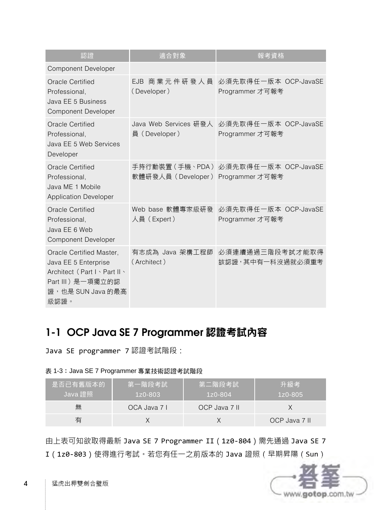| 認證                                                                                                                                  | 滴合對象                                   | <u>報</u> 考資格                            |
|-------------------------------------------------------------------------------------------------------------------------------------|----------------------------------------|-----------------------------------------|
| <b>Component Developer</b>                                                                                                          |                                        |                                         |
| Oracle Certified<br>Professional,<br>Java EE 5 Business<br><b>Component Developer</b>                                               | EJB 商業元件研發人員<br>(Developer)            | 必須先取得任一版本 OCP-JavaSE<br>Programmer 才可報考 |
| Oracle Certified<br>Professional,<br>Java EE 5 Web Services<br>Developer                                                            | Java Web Services 研發人<br>員 (Developer) | 必須先取得任一版本 OCP-JavaSE<br>Programmer 才可報考 |
| Oracle Certified<br>Professional.<br>Java ME 1 Mobile<br><b>Application Developer</b>                                               | 軟體研發人員(Developer) Programmer 才可報考      | 手持行動裝置(手機、PDA) 必須先取得任一版本 OCP-JavaSE     |
| Oracle Certified<br>Professional.<br>Java EE 6 Web<br>Component Developer                                                           | Web base 軟體專家級研發<br>人員 (Expert)        | 必須先取得任一版本 OCP-JavaSE<br>Programmer 才可報考 |
| Oracle Certified Master,<br>Java EE 5 Enterprise<br>Architect (Part I \ Part II \<br>Part III) 是一項獨立的認<br>證,也是 SUN Java 的最高<br>級認證。 | 有志成為 Java 架構工程師<br>(Architect)         | 必須連續通過三階段考試才能取得<br>該認證,其中有一科沒過就必須重考     |

## **1-1 OCP Java SE 7 Programmer** 認證考試內容

Java SE programmer 7 認證考試階段:

#### 表 1-3:Java SE 7 Programmer 專業技術認證考試階段

| 是否已有舊版本的!<br>Java 證照 | 第一階段考試<br>$1z0 - 803$ | 第二階段考試<br>$1z0 - 804$ | 升級考<br>$1z0 - 805$ |
|----------------------|-----------------------|-----------------------|--------------------|
| 無                    | OCA Java 7 I          | OCP Java 7 II         |                    |
| 有                    |                       |                       | OCP Java 7 II      |

由上表可知欲取得最新 Java SE 7 Programmer II(1z0-804)需先通過 Java SE 7 I(1z0-803)使得進行考試。若您有任一之前版本的 Java 證照(早期昇陽(Sun)

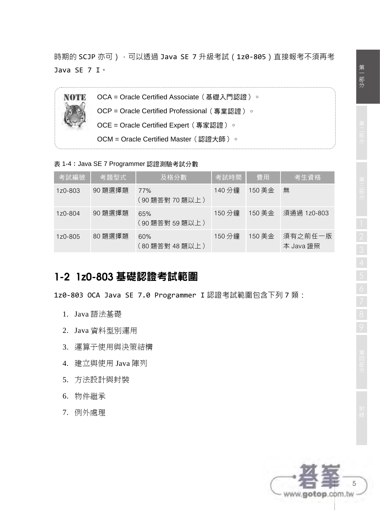時期的 SCJP 亦可),可以透過 Java SE 7 升級考試 (1z0-805)直接報考不須再考 Java SE 7 I。



表 1-4:Java SE 7 Programmer 認證測驗考試分數

| 考試編號    | 考題型式    | 及格分數                   | 考試時間   | 費用     | 考生資格                 |
|---------|---------|------------------------|--------|--------|----------------------|
| 1z0-803 | 90 題選擇題 | 77%<br>(90 題答對 70 題以上) | 140 分鐘 | 150 美金 | 無                    |
| 1z0-804 | 90 題選擇題 | 65%<br>(90 題答對 59 題以上) | 150 分鐘 | 150 美金 | 須通過 1z0-803          |
| 1z0-805 | 80 題選擇題 | 60%<br>(80 題答對 48 題以上) | 150 分鐘 | 150 美金 | 須有之前任一版<br>本 Java 證照 |

### **1-2 1z0-803** 基礎認證考試範圍

1z0-803 OCA Java SE 7.0 Programmer I 認證考試範圍包含下列 7 類:

- 1. Java 語法基礎
- 2. Java 資料型別運用
- 3. 運算子使用與決策結構
- 4. 建立與使用 Java 陣列
- 5. 方法設計與封裝
- 6. 物件繼承
- 7. 例外處理

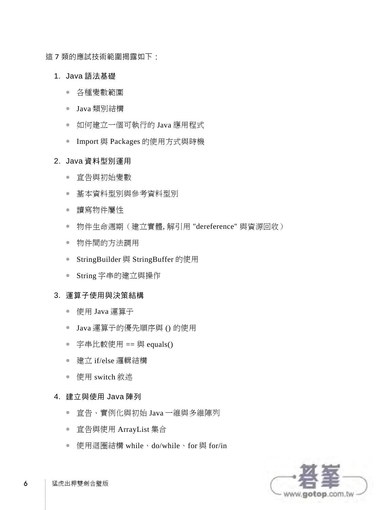這 7 類的應試技術範圍揭露如下:

- 1. Java 語法基礎
	- 各種變數範圍
	- Java 類別結構
	- 如何建立一個可執行的 Java 應用程式
	- Import 與 Packages 的使用方式與時機

#### 2. Java 資料型別運用

- 宣告與初始變數
- 基本資料型別與參考資料型別
- 讀寫物件屬性
- 物件生命调期 ( 建立實體, 解引用 "dereference" 與資源回收)
- 物件間的方法調用
- StringBuilder 與 StringBuffer 的使用
- String 字串的建立與操作

#### 3. 運算子使用與決策結構

- 使用 Java 運算子
- Java 運算子的優先順序與 () 的使用
- 字串比較使用 == 與 equals()
- 建立 if/else 邏輯結構
- 使用 switch 敘述

#### 4. 建立與使用 Java 陣列

- 宣告、實例化與初始 Java 一維與多維陣列
- 宣告與使用 ArrayList 集合
- 使用迴圈結構 while、do/while、for 與 for/in

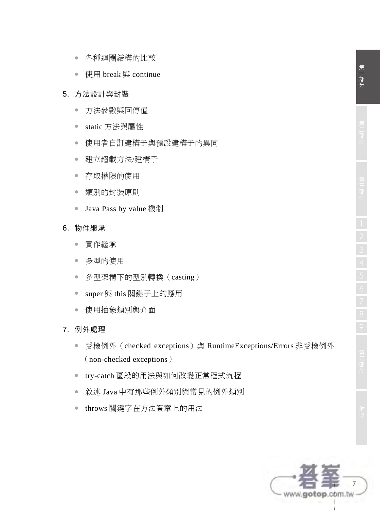- 各種迴圈結構的比較
- 使用 break 與 continue

#### 5. 方法設計與封裝

- 方法參數與回傳值
- static 方法與屬性
- 使用者自訂建構子與預設建構子的異同
- 建立超載方法/建構子
- 存取權限的使用
- 類別的封裝原則
- Java Pass by value 機制

#### 6. 物件繼承

- 實作繼承
- 多型的使用
- 多型架構下的型別轉換(casting)
- super 與 this 關鍵子上的應用
- 使用抽象類別與介面
- 7. 例外處理
	- 受檢例外 (checked exceptions) 與 RuntimeExceptions/Errors 非受檢例外 (non-checked exceptions)
	- try-catch 區段的用法與如何改變正常程式流程
	- 敘述 Java 中有那些例外類別與常見的例外類別
	- throws 關鍵字在方法簽章上的用法

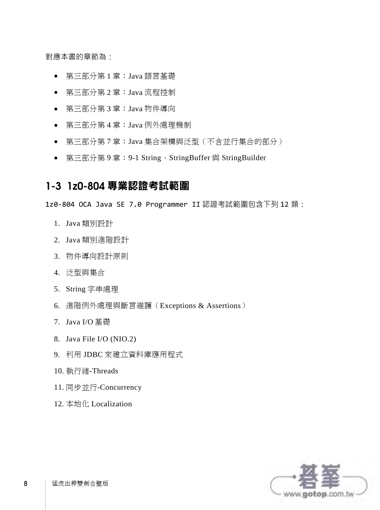對應本書的章節為:

- 第三部分第 1 章:Java 語言基礎
- 第三部分第 2 章:Java 流程控制
- 第三部分第 3 章:Java 物件導向
- 第三部分第 4 章:Java 例外處理機制
- 第三部分第 7 章:Java 集合架構與泛型(不含並行集合的部分)
- 第三部分第 9 章:9-1 String、StringBuffer 與 StringBuilder

### **1-3 1z0-804** 專業認證考試範圍

1z0-804 OCA Java SE 7.0 Programmer II 認證考試範圍包含下列 12 類:

- 1. Java 類別設計
- 2. Java 類別進階設計
- 3. 物件導向設計原則
- 4. 泛型與集合
- 5. String 字串處理
- 6. 進階例外處理與斷言維護(Exceptions & Assertions)
- 7. Java I/O 基礎
- 8. Java File I/O (NIO.2)
- 9. 利用 JDBC 來建立資料庫應用程式
- 10. 執行緒-Threads
- 11. 同步並行-Concurrency
- 12. 本地化 Localization

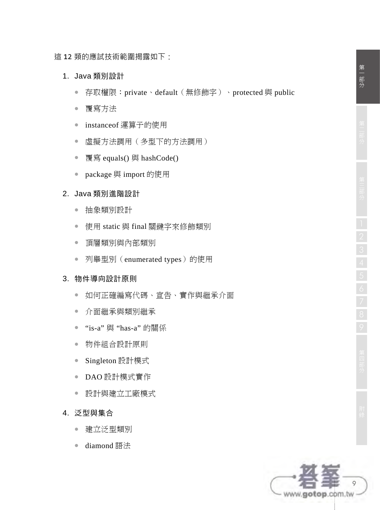這 12 類的應試技術範圍揭露如下:

- 1. Java 類別設計
	- 存取權限:private、default(無修飾字)、protected 與 public
	- 覆寫方法
	- instanceof 運算子的使用
	- 虛擬方法調用(多型下的方法調用)
	- 覆寫 equals() 與 hashCode()
	- package 與 import 的使用

#### 2. Java 類別進階設計

- 抽象類別設計
- 使用 static 與 final 關鍵字來修飾類別
- 頂層類別與內部類別
- 列舉型別(enumerated types)的使用

#### 3. 物件導向設計原則

- 如何正確編寫代碼、宣告、實作與繼承介面
- 介面繼承與類別繼承
- "is-a" 與 "has-a" 的關係
- 物件組合設計原則
- Singleton 設計模式
- DAO 設計模式實作
- 設計與建立工廠模式

#### 4. 泛型與集合

- 建立泛型類別
- diamond 語法

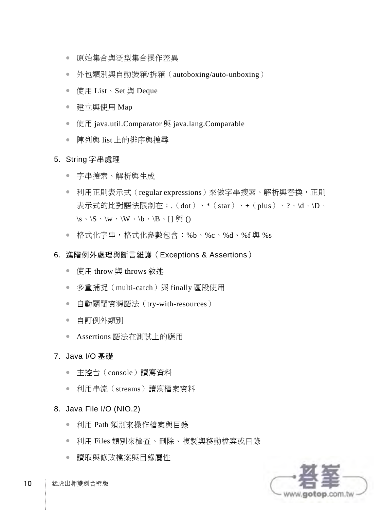- 原始集合與泛型集合操作差異
- 外包類別與自動裝箱/拆箱(autoboxing/auto-unboxing)
- 使用 List、Set 與 Deque
- 建立與使用 Map
- 使用 java.util.Comparator 與 java.lang.Comparable
- 陣列與 list 上的排序與搜尋

#### 5. String 字串處理

- 字串搜索、解析與生成
- 利用正則表示式 (regular expressions) 來做字串搜索、解析與替換,正則 表示式的比對語法限制在:.(dot)、\*(star)、+(plus)、?、\d、\D、  $\S \cdot \S \cdot \wedge \wedge \W \cdot \b \cdot \B \cdot \B \cdot \Pi$  與 ()
- 格式化字串,格式化參數包含:%b、%c、%d、%f 與 %s
- 6. 進階例外處理與斷言維護(Exceptions & Assertions)
	- 使用 throw 與 throws 敘述
	- 多重捕捉 (multi-catch) 與 finally 區段使用
	- 自動關閉資源語法(try-with-resources)
	- 自訂例外類別
	- Assertions 語法在測試上的應用
- 7. Java I/O 基礎
	- 主控台(console)讀寫資料
	- 利用串流(streams)讀寫檔案資料
- 8. Java File I/O (NIO.2)
	- 利用 Path 類別來操作檔案與目錄
	- 利用 Files 類別來檢查、刪除、複製與移動檔案或目錄
	- 讀取與修改檔案與目錄屬性



10 猛虎出柙雙劍合璧版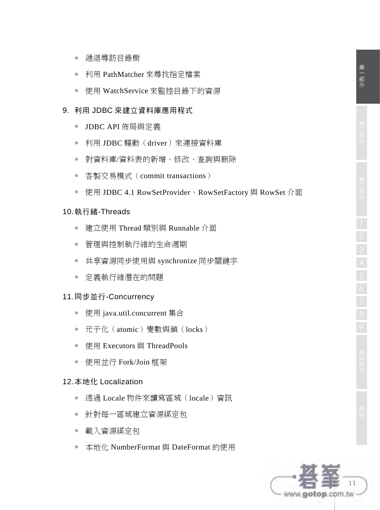- 利用 PathMatcher 來尋找指定檔案
- 使用 WatchService 來監控目錄下的資源

#### 9. 利用 JDBC 來建立資料庫應用程式

- JDBC API 佈局與定義
- 利用 JDBC 驅動(driver)來連接資料庫
- 對資料庫/資料表的新增、修改、查詢與刪除
- 客製交易模式 (commit transactions)
- 使用 JDBC 4.1 RowSetProvider、RowSetFactory 與 RowSet 介面

#### 10. 執行緒-Threads

- 建立使用 Thread 類別與 Runnable 介面
- 管理與控制執行緒的生命週期
- 共享資源同步使用與 synchronize 同步關鍵字
- 定義執行緒潛在的問題

#### 11. 同步並行-Concurrency

- 使用 java.util.concurrent 集合
- 元子化 (atomic)變數與鎖 (locks)
- 使用 Executors 與 ThreadPools
- 使用並行 Fork/Join 框架

#### 12. 本地化 Localization

- 透過 Locale 物件來讀寫區域(locale)資訊
- 針對每一區域建立資源綁定包
- 載入資源綁定包
- 本地化 NumberFormat 與 DateFormat 的使用

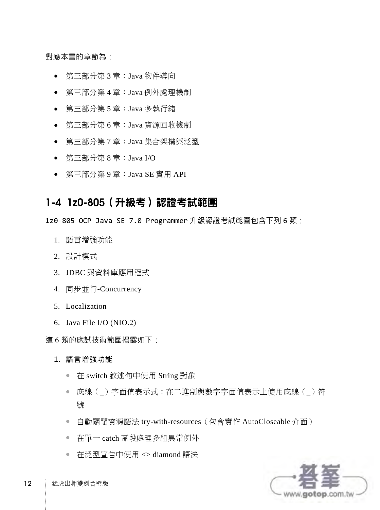對應本書的章節為:

- 第三部分第 3 章:Java 物件導向
- 第三部分第 4 章:Java 例外處理機制
- 第三部分第 5 章:Java 多執行緒
- 第三部分第 6 章:Java 資源回收機制
- 第三部分第 7 章:Java 集合架構與泛型
- 第三部分第 8 章:Java I/O
- 第三部分第 9 章:Java SE 實用 API

#### **1-4 1z0-805**(升級考)認證考試範圍

1z0-805 OCP Java SE 7.0 Programmer 升級認證考試範圍包含下列 6 類:

- 1. 語言增強功能
- 2. 設計模式
- 3. JDBC 與資料庫應用程式
- 4. 同步並行-Concurrency
- 5. Localization
- 6. Java File I/O (NIO.2)

這 6 類的應試技術範圍揭露如下:

- 1. 語言增強功能
	- 在 switch 敘述句中使用 String 對象
	- 底線(\_)字面值表示式:在二進制與數字字面值表示上使用底線(\_)符 號
	- 自動關閉資源語法 try-with-resources (包含實作 AutoCloseable 介面)
	- 在單一 catch 區段處理多組異常例外
	- 在泛型宣告中使用 <> diamond 語法

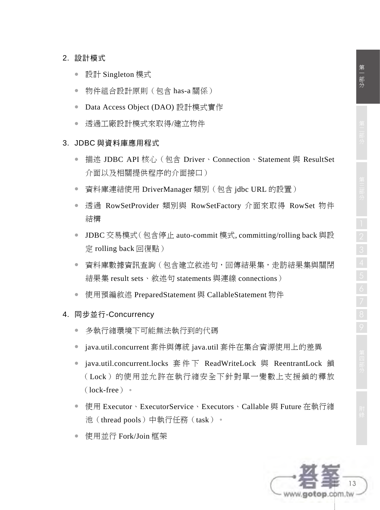#### 2. 設計模式

- 設計 Singleton 模式
- 物件組合設計原則(包含 has-a 關係)
- Data Access Object (DAO) 設計模式實作
- 透過工廠設計模式來取得/建立物件

#### 3. JDBC 與資料庫應用程式

- 描述 JDBC API 核心 (包含 Driver、Connection、Statement 與 ResultSet 介面以及相關提供程序的介面接口)
- 資料庫連結使用 DriverManager 類別 (包含 jdbc URL 的設置)
- 透過 RowSetProvider 類別與 RowSetFactory 介面來取得 RowSet 物件 結構
- JDBC 交易模式(包含停止 auto-commit 模式, committing/rolling back 與設 定 rolling back 回復點)
- 資料庫數據資訊查詢(包含建立敘述句,回傳結果集,走訪結果集與關閉 結果集 result sets、敘述句 statements 與連線 connections)
- 使用預編敘述 PreparedStatement 與 CallableStatement 物件
- 4. 同步並行-Concurrency
	- 多執行緒環境下可能無法執行到的代碼
	- java.util.concurrent 套件與傳統 java.util 套件在集合資源使用上的差異
	- java.util.concurrent.locks 套件下 ReadWriteLock 與 ReentrantLock 鎖 (Lock)的使用並允許在執行緒安全下針對單一變數上支援鎖的釋放 (lock-free)。
	- 使用 Executor、ExecutorService、Executors、Callable 與 Future 在執行緒 池(thread pools)中執行任務(task)。
	- 使用並行 Fork/Join 框架

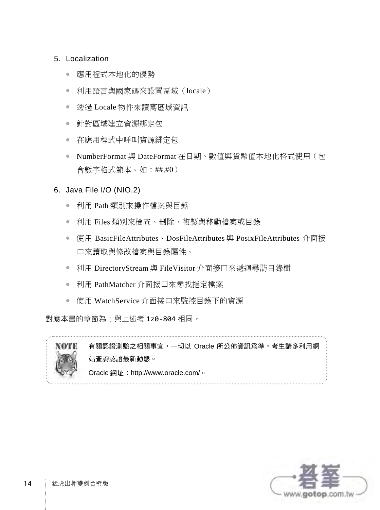#### 5. Localization

- 應用程式本地化的優勢
- 利用語言與國家碼來設置區域(locale)
- 透過 Locale 物件來讀寫區域資訊
- 針對區域建立資源綁定包
- 在應用程式中呼叫資源綁定包
- NumberFormat 與 DateFormat 在日期、數值與貨幣值本地化格式使用(包 含數字格式範本。如:##,#0)

#### 6. Java File I/O (NIO.2)

- 利用 Path 類別來操作檔案與目錄
- 利用 Files 類別來檢查、刪除、複製與移動檔案或目錄
- 使用 BasicFileAttributes、DosFileAttributes 與 PosixFileAttributes 介面接 口來讀取與修改檔案與目錄屬性。
- 利用 DirectoryStream 與 FileVisitor 介面接口來遞迴尋訪目錄樹
- 利用 PathMatcher 介面接口來尋找指定檔案
- 使用 WatchService 介面接口來監控目錄下的資源

對應本書的章節為:與上述考 1z0-804 相同。



有關認證測驗之相關事宜,一切以 Oracle 所公佈資訊為準,考生請多利用網 站查詢認證最新動態。 Oracle 網址: http://www.oracle.com/。

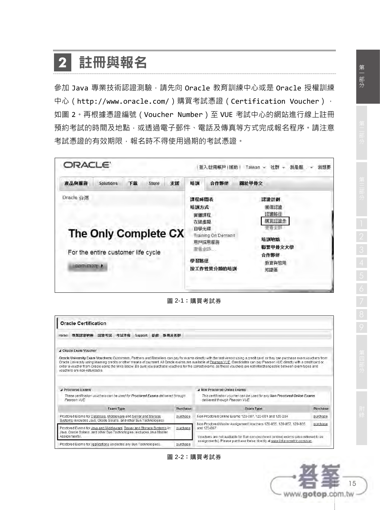# **2** 註冊與報名

參加 Java 專業技術認證測驗,請先向 Oracle 教育訓練中心或是 Oracle 授權訓練 中心(http://www.oracle.com/)購買考試憑證(Certification Voucher), 如圖 2。再根據憑證編號(Voucher Number)至 VUE 考試中心的網站進行線上註冊 預約考試的時間及地點,或透過電子郵件、電話及傳真等方式完成報名程序。請注意 考試憑證的有效期限,報名時不得使用過期的考試憑證。



圖 2-1:購買考試券

|      | <b>Oracle Certification</b>                                                                                                                    |                  |         |    |          |                                                                                                                                                                                                                                                                                                                                                                                                                                                                                                                                                 |          |
|------|------------------------------------------------------------------------------------------------------------------------------------------------|------------------|---------|----|----------|-------------------------------------------------------------------------------------------------------------------------------------------------------------------------------------------------------------------------------------------------------------------------------------------------------------------------------------------------------------------------------------------------------------------------------------------------------------------------------------------------------------------------------------------------|----------|
| Home | 東荃認證地圖 認證考試 考試準備                                                                                                                               |                  | Support | 益虚 | 新聞及社群    |                                                                                                                                                                                                                                                                                                                                                                                                                                                                                                                                                 |          |
|      | J Oracle Exam Voucher                                                                                                                          |                  |         |    |          |                                                                                                                                                                                                                                                                                                                                                                                                                                                                                                                                                 |          |
|      | vouchers are non-refundable.                                                                                                                   |                  |         |    |          | Oracle University Exam Vouchers: Customers, Partners and Resellers can pay for exams directly with the test vendor using a credit card, or they can purchase exam vouchers from<br>Oracle University using learning credits or other means of payment. All Oracle exams are available at Pearson VUE. Candidates can pay Pearson VUE directly with a credit card or<br>order a voucher from Oracle using the links below. Be sure you purchase vouchers for the correct exams, as these vouchers are not interchangeable between exam types and |          |
|      | A Proctored Exams                                                                                                                              |                  |         |    |          | A Non Proctored Online Exams                                                                                                                                                                                                                                                                                                                                                                                                                                                                                                                    |          |
|      | These certification vouchers can be used for Proctored Exams delivered through<br>Pearson VUE                                                  |                  |         |    |          | This certification youcher can be used for any Non Proctored Online Exams<br>delivered through Pearson VUE                                                                                                                                                                                                                                                                                                                                                                                                                                      |          |
|      |                                                                                                                                                |                  |         |    |          |                                                                                                                                                                                                                                                                                                                                                                                                                                                                                                                                                 |          |
|      |                                                                                                                                                | <b>Exam Type</b> |         |    | Purchase | Exam Type                                                                                                                                                                                                                                                                                                                                                                                                                                                                                                                                       | Purchase |
|      | Proctored Exams for Database, Middleware and Server and Storage                                                                                |                  |         |    | purchase | Non Proctored Online Exams 1Z0-007, 1Z0-051 and 1Z0-204                                                                                                                                                                                                                                                                                                                                                                                                                                                                                         | purchase |
|      | Systems (excludes Java, Oracle Solaris, and other Sun Technologies)<br>Proctored Exams for Java and Middleware, Server and Storage Systems in: |                  |         |    | purchase | Non Proctored Master Assignment Vouchers 1Z0-855, 1Z0-857, 1Z0-865<br>and 1Z0-867                                                                                                                                                                                                                                                                                                                                                                                                                                                               | purchase |
|      | Java, Oracle Solaris, and other Sun Technologies (excludes Java Master)<br>Assignments).                                                       |                  |         |    |          | Vouchers are not available for Sun non-proctored (online) exams (also referred to as<br>assignments). Please purchase these directly at www.ibt.prometric.com/sun.                                                                                                                                                                                                                                                                                                                                                                              |          |

圖 2-2:購買考試券

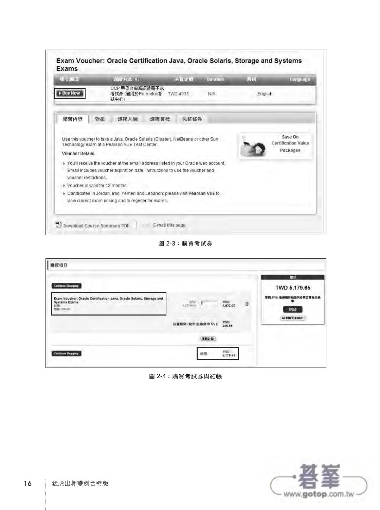| Has Big.                                        |    | □段方式 (2)                                                                                                                                                                                                                                                                                                 |      | ste a final |      | <b>Duration</b> | 512. | Lamuage                                |
|-------------------------------------------------|----|----------------------------------------------------------------------------------------------------------------------------------------------------------------------------------------------------------------------------------------------------------------------------------------------------------|------|-------------|------|-----------------|------|----------------------------------------|
| <b>Buy Now</b>                                  |    | OCP 甲母文専業認識電子式<br>考試券 (適用於Prometric考)<br>試中心                                                                                                                                                                                                                                                             |      | TWD 4933    |      | N/A             |      | English                                |
| 學習內容                                            | 象悸 | 課程大編                                                                                                                                                                                                                                                                                                     | 謀程目標 |             | 先修修件 |                 |      |                                        |
| <b>Voucher Details</b><br>voucher restrictions. |    | Use this voucher to take a Java, Oracle Solaris (Cluster), NetBeans or other Sun<br>Technology exam at a Pearson VUE Test Center.<br>F You'll receive the voucher at the email address listed in your Oracle web account.<br>Email includes voucher expiration date, instructions to use the voucher and |      |             |      |                 |      | <b>Certification Value</b><br>Packages |
| Voucher is valid for 12 months.                 |    |                                                                                                                                                                                                                                                                                                          |      |             |      |                 |      |                                        |
|                                                 |    | Candidates in Jordan, Iraq, Yemen and Lebanon; please visit Pearson VUE to<br>view current exam pricing and to register for exams.                                                                                                                                                                       |      |             |      |                 |      |                                        |

圖 2-3:購買考試券

| Continue Shopping<br>Exam Voucher: Oracle Certification Java, Oracle Solaris, Storage and<br>Systems Exams<br><b>HYMI</b> | TVO<br>L013.00 li  | <b>TWD</b><br>4,933.00 | ú | r m<br>TWD 5,179.65<br>专题:TWD. 和确用折扣请另参照过草收运通<br>30. |
|---------------------------------------------------------------------------------------------------------------------------|--------------------|------------------------|---|------------------------------------------------------|
| <b>MERCONTINE</b>                                                                                                         | 情算取開 (税率 报答查字 5%): | TWD<br>246.65          |   | 協議<br>粘度精育生体技                                        |
|                                                                                                                           | 亚新封算               |                        |   |                                                      |

圖 2-4:購買考試券與結帳

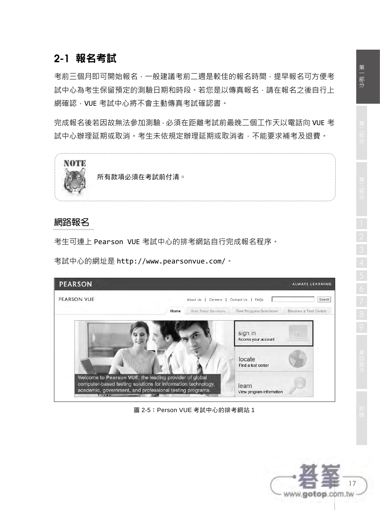## **2-1** 報名考試

考前三個月即可開始報名,一般建議考前二週是較佳的報名時間,提早報名可方便考 試中心為考生保留預定的測驗日期和時段。若您是以傳真報名,請在報名之後自行上 網確認,VUE 考試中心將不會主動傳真考試確認書。

完成報名後若因故無法參加測驗,必須在距離考試前最晚二個工作天以電話向 VUE 考 試中心辦理延期或取消。考生未依規定辦理延期或取消者,不能要求補考及退費。



所有款項必須在考試前付清。

#### 網路報名

考生可連上 Pearson VUE 考試中心的排考網站自行完成報名程序。

考試中心的網址是 http://www.pearsonvue.com/。



圖 2-5:Person VUE 考試中心的排考網站 1

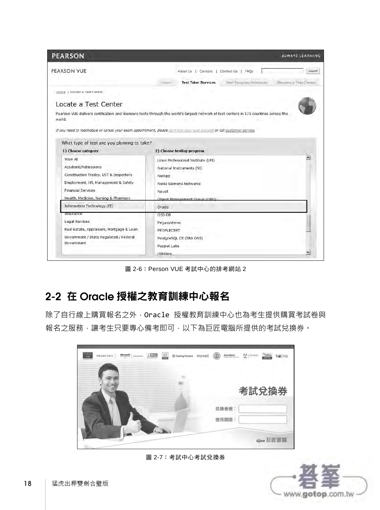| <b>PEARSON</b>                              | ALWAYS LEARNING                                                                                                                        |
|---------------------------------------------|----------------------------------------------------------------------------------------------------------------------------------------|
| PEARSON VUE                                 | About Us   Careers   Contact Us   FAQs<br>Search                                                                                       |
|                                             | Test Program Solutions<br>Bassims a Test Center<br><b>Test Taker Services</b>                                                          |
| Home > Locate a Test Center                 |                                                                                                                                        |
| Locate a Test Center                        |                                                                                                                                        |
|                                             | Pearson VUE delivers certification and licensure tests through the world's largest network of test centers in 175 countries across the |
| world.                                      |                                                                                                                                        |
|                                             | If you need to reschedule or cancel your exam appointment, please sign into your was account or call customer service.                 |
|                                             |                                                                                                                                        |
| What type of test are you planning to take? |                                                                                                                                        |
| 1) Choose category                          | 2) Choose testing program                                                                                                              |
| View All                                    | ×<br>Linux Professional Institute (LPI)                                                                                                |
| Academic/Admissions                         | National Instruments (NI)                                                                                                              |
| Construction Trades, UST & Inspectors       | NetApp                                                                                                                                 |
| Employment, HR, Management & Safety         | Nokia Siemens Networks                                                                                                                 |
| <b>Financial Services</b>                   | Novell                                                                                                                                 |
| Health, Medicine, Nursing & Pharmacy        | Ohiert Management Group (OMG)                                                                                                          |
| Information Technology (IT)                 | Oracle                                                                                                                                 |
| <b>Insurance</b>                            | OSS-DB                                                                                                                                 |
| Legal Services                              | Pegasystems                                                                                                                            |
|                                             |                                                                                                                                        |
| Real Estate, Appraisers, Mortgage & Loan    | PEOPLECERT                                                                                                                             |
| Government / State Regulated / Federal      | PostgreSQL CE (SRA OSS)                                                                                                                |
| Government                                  | Puppet Labs                                                                                                                            |

圖 2-6:Person VUE 考試中心的排考網站 2

### **2-2** 在 **Oracle** 授權之教育訓練中心報名

除了自行線上購買報名之外, Oracle 授權教育訓練中心也為考生提供購買考試卷與 報名之服務,讓考生只要專心備考即可,以下為巨匠電腦所提供的考試兌換券。

| 菖<br><b>EARSON</b><br>$\left.\frac{\text{A}}{\text{SUSUATION}}\right \xrightarrow{\text{boundary}}\left.\begin{array}{c c} 1 & \text{SUSU} \\ \hline \end{array}\right $<br><b>PROMETRIC</b><br>wie | Novell<br>Training Partners | $\circledcirc$<br>$\overline{M}$ masses<br>Autodesk | Pilottos<br>TQC |
|-----------------------------------------------------------------------------------------------------------------------------------------------------------------------------------------------------|-----------------------------|-----------------------------------------------------|-----------------|
|                                                                                                                                                                                                     |                             |                                                     |                 |
|                                                                                                                                                                                                     |                             |                                                     | 考試兌換券           |
|                                                                                                                                                                                                     |                             |                                                     |                 |
|                                                                                                                                                                                                     |                             | 兑换卷號:<br>使用期限:                                      |                 |
|                                                                                                                                                                                                     |                             |                                                     |                 |
|                                                                                                                                                                                                     |                             |                                                     | G/un 巨匠雷圈       |

圖 2-7:考試中心考試兌換券

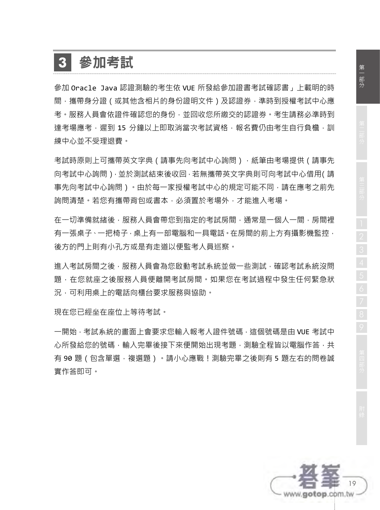# **3** 參加考試

參加 Oracle Java 認證測驗的考生依 VUE 所發給參加證書考試確認書」上載明的時 間,攜帶身分證(或其他含相片的身份證明文件)及認證券,準時到授權考試中心應 考。服務人員會依證件確認您的身份,並回收您所繳交的認證券。考生請務必準時到 達考場應考,遲到 15 分鐘以上即取消當次考試資格,報名費仍由考生自行負檐,訓 練中心並不受理退費。

考試時原則上可攜帶英文字典(請事先向考試中心詢問),紙筆由考場提供(請事先 向考試中心詢問),並於測試結束後收回,若無攜帶英文字典則可向考試中心借用(請 事先向考試中心詢問)。由於每一家授權考試中心的規定可能不同,請在應考之前先 詢問清楚。若您有攜帶背包或書本,必須置於考場外,才能進入考場。

在一切準備就緒後,服務人員會帶您到指定的考試房間,通常是一個人一間,房間裡 有一張桌子、一把椅子,桌上有一部電腦和一具電話。在房間的前上方有攝影機監控, 後方的門上則有小孔方或是有走道以便監考人員巡察。

進入考試房間之後,服務人員會為您啟動考試系統並做一些測試,確認考試系統沒問 題,在您就座之後服務人員便離開考試房間。如果您在考試過程中發生任何緊急狀 況,可利用桌上的電話向櫃台要求服務與協助。

現在您已經坐在座位上等待考試。

一開始,考試系統的畫面上會要求您輸入報考人證件號碼,這個號碼是由 VUE 考試中 心所發給您的號碼,輸入完畢後接下來便開始出現考題,測驗全程皆以電腦作答,共 有 90 題(包含單選,複選題)。請小心應戰!測驗完畢之後則有 5 題左右的問卷誠 實作答即可。

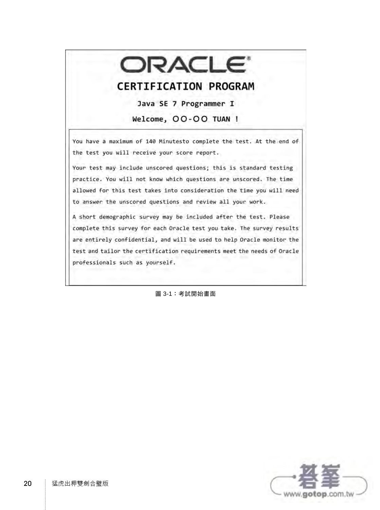# ORACLE<sup>®</sup>

#### **CERTIFICATION PROGRAM**

Java SE 7 Programmer I

Welcome, OO-OO TUAN !

You have a maximum of 140 Minutesto complete the test. At the end of the test you will receive your score report.

Your test may include unscored questions; this is standard testing practice. You will not know which questions are unscored. The time allowed for this test takes into consideration the time you will need to answer the unscored questions and review all your work.

A short demographic survey may be included after the test. Please complete this survey for each Oracle test you take. The survey results are entirely confidential, and will be used to help Oracle monitor the test and tailor the certification requirements meet the needs of Oracle professionals such as yourself.

圖 3-1:考試開始畫面

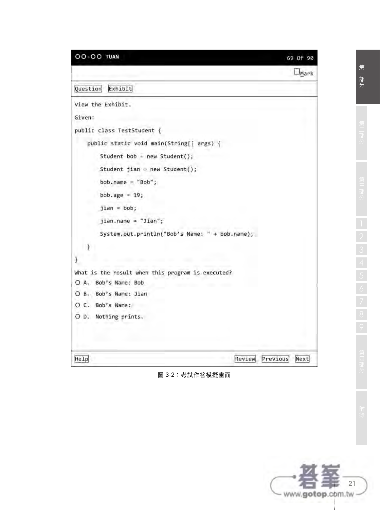Question Exhibit

```
View the Exhibit.
```
Given:

 $\ddot{\ }$ 

¥

Help

public class TestStudent {

public static void main(String[] args) {

Student bob = new Student();

```
Student jian = new Student();
```
 $bob.name = "Bob";$ 

jian.name = "Jian";

bob.age =  $19$ ;

 $jian = bob;$ 

System.out.println("Bob's Name: " + bob.name);

What is the result when this program is executed?

O A. Bob's Name: Bob

O B. Bob's Name: Jian

O C. Bob's Name:

O D. Nothing prints.

Review Previous Next

圖 3-2:考試作答模擬畫面

69 Of 90

 $\square$ Mark



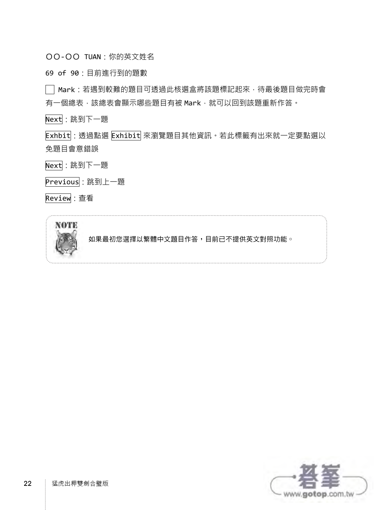OO-OO TUAN:你的英文姓名

69 of 90:目前進行到的題數

—<br>| Mark: 若遇到較難的題目可透過此核選盒將該題標記起來, 待最後題目做完時會 有一個總表,該總表會顯示哪些題目有被 Mark,就可以回到該題重新作答。

Next:跳到下一題

Exhbit : 透過點選 Exhibit 來瀏覽題目其他資訊。若此標籤有出來就一定要點選以 免題目會意錯誤

Next:跳到下一題

Previous: 跳到上一題

Review:查看



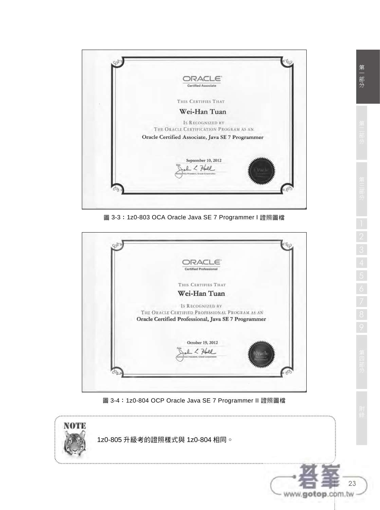

圖 3-3:1z0-803 OCA Oracle Java SE 7 Programmer I 證照圖檔



圖 3-4:1z0-804 OCP Oracle Java SE 7 Programmer II 證照圖檔



23

www.gotop.com.tw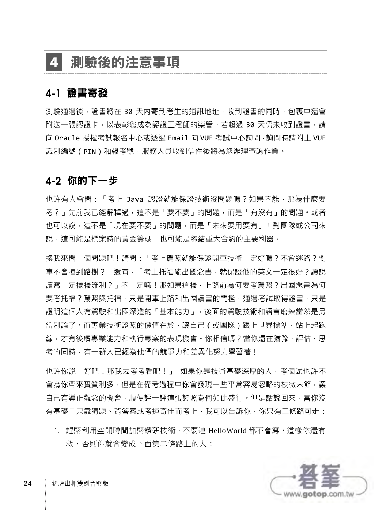## **4** 測驗後的注意事項

#### **4-1** 證書寄發

測驗通過後,證書將在 30 天内寄到考生的通訊地址,收到證書的同時,包裹中還會 附送一張認證卡,以表彰您成為認證工程師的榮譽。若超過 30 天仍未收到證書,請 向 Oracle 授權考試報名中心或透過 Email 向 VUE 考試中心詢問,詢問時請附上 VUE 識別編號(PIN)和報考號,服務人員收到信件後將為您辦理查詢作業。

#### **4-2** 你的下一步

也許有人會問:「考上 Java 認證就能保證技術沒問題嗎?如果不能,那為什麼要 考?」先前我已經解釋過,這不是「要不要」的問題,而是「有沒有」的問題。或者 也可以說,這不是「現在要不要」的問題,而是「未來要用要有」! 對團隊或公司來 說,這可能是標案時的黃金籌碼,也可能是締結重大合約的主要利器。

換我來問一個問題吧!請問:「考上駕照就能保證開車技術一定好嗎?不會迷路?倒 車不會撞到路樹?」還有,「考上托福能出國念書,就保證他的英文一定很好?聽說 讀寫一定樣樣流利?」不一定嘛!那如果這樣,上路前為何要考駕照?出國念書為何 要考托福?駕照與托福,只是開車上路和出國讀書的門檻,通過考試取得證書,只是 證明這個人有駕駛和出國深造的「基本能力」,後面的駕駛技術和語言磨鍊當然是另 當別論了。而專業技術證照的價值在於,讓自己(或團隊)跟上世界標準,站上起跑 線,才有後續專業能力和執行專案的表現機會。你相信嗎?當你還在猶豫、評估、思 考的同時,有一群人已經為他們的競爭力和差異化努力學習著!

也許你說「好吧!那我去考考看吧!」 如果你是技術基礎深厚的人,考個試也許不 會為你帶來實質利多,但是在備考過程中你會發現一些平常容易忽略的枝微末節,讓 自己有導正觀念的機會,順便評一評這張證照為何如此盛行。但是話說回來,當你沒 有基礎且只靠猜題、背答案或考運奇佳而考上,我可以告訴你,你只有二條路可走:

1. 趕緊利用空閒時間加緊鑽研技術,不要連 HelloWorld 都不會寫,這樣你還有 救,否則你就會變成下面第二條路上的人;

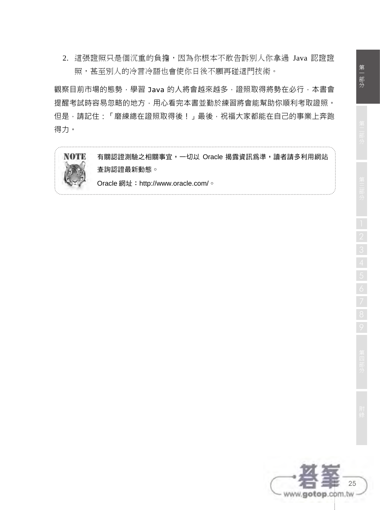2. 這張證照只是個沉重的負擔,因為你根本不敢告訴別人你拿過 Java 認證證 照,甚至別人的冷言冷語也會使你日後不願再碰這門技術。

觀察目前市場的態勢,學習 Java 的人將會越來越多, 證照取得將勢在必行, 本書會 提醒考試時容易忽略的地方,用心看完本書並勤於練習將會能幫助你順利考取證照。 但是,請記住:「磨練總在證照取得後!」最後,祝福大家都能在自己的事業上奔跑 得力。